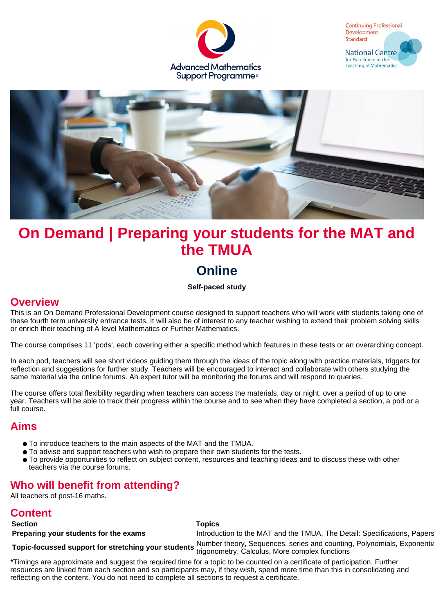





# **On Demand | Preparing your students for the MAT and the TMUA**

## **Online**

#### **Self-paced study**

#### **Overview**

This is an On Demand Professional Development course designed to support teachers who will work with students taking one of these fourth term university entrance tests. It will also be of interest to any teacher wishing to extend their problem solving skills or enrich their teaching of A level Mathematics or Further Mathematics.

The course comprises 11 'pods', each covering either a specific method which features in these tests or an overarching concept.

In each pod, teachers will see short videos guiding them through the ideas of the topic along with practice materials, triggers for reflection and suggestions for further study. Teachers will be encouraged to interact and collaborate with others studying the same material via the online forums. An expert tutor will be monitoring the forums and will respond to queries.

The course offers total flexibility regarding when teachers can access the materials, day or night, over a period of up to one year. Teachers will be able to track their progress within the course and to see when they have completed a section, a pod or a full course.

#### **Aims**

- To introduce teachers to the main aspects of the MAT and the TMUA.
- To advise and support teachers who wish to prepare their own students for the tests.
- To provide opportunities to reflect on subject content, resources and teaching ideas and to discuss these with other teachers via the course forums.

#### **Who will benefit from attending?**

All teachers of post-16 maths.

#### **Content**

**Section Topics Approximate time to complete\***

**Preparing your students for the exams** Introduction to the MAT and the TMUA, The Detail: Specifications, Papers **Topic-focussed support for stretching your students** Number theory, Sequences, series and counting, Polynomials, Exponentia<br>trigonometry, Calculus, More complex functions, Exponentials, Franchia

\*Timings are approximate and suggest the required time for a topic to be counted on a certificate of participation. Further resources are linked from each section and so participants may, if they wish, spend more time than this in consolidating and reflecting on the content. You do not need to complete all sections to request a certificate.